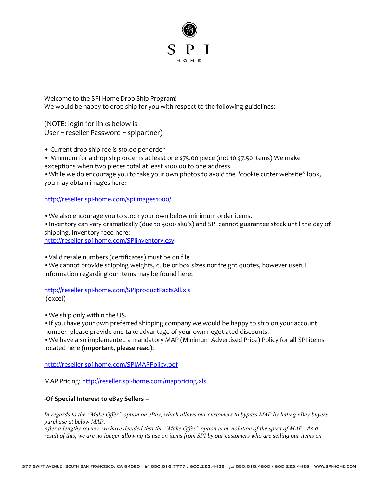

Welcome to the SPI Home Drop Ship Program! We would be happy to drop ship for you with respect to the following guidelines:

(NOTE: login for links below is - User = reseller Password = spipartner)

• Current drop ship fee is \$10.00 per order

• Minimum for a drop ship order is at least one \$75.00 piece (not 10 \$7.50 items) We make exceptions when two pieces total at least \$100.00 to one address.

•While we do encourage you to take your own photos to avoid the "cookie cutter website" look, you may obtain images here:

<http://reseller.spi-home.com/spiImages1000/>

•We also encourage you to stock your own below minimum order items.

•Inventory can vary dramatically (due to 3000 sku's) and SPI cannot guarantee stock until the day of shipping. Inventory feed here:

<http://reseller.spi-home.com/SPIinventory.csv>

•Valid resale numbers (certificates) must be on file

•We cannot provide shipping weights, cube or box sizes nor freight quotes, however useful information regarding our items may be found here:

<http://reseller.spi-home.com/SPIproductFactsAll.xls> (excel)

•We ship only within the US.

•If you have your own preferred shipping company we would be happy to ship on your account number -please provide and take advantage of your own negotiated discounts.

•We have also implemented a mandatory MAP (Minimum Advertised Price) Policy for **all** SPI items located here (**important, please read**):

<http://reseller.spi-home.com/SPIMAPPolicy.pdf>

MAP Pricing[: http://reseller.spi-home.com/mappricing.xls](http://reseller.spi-home.com/mappricing.xls)

## -**Of Special Interest to eBay Sellers** –

*In regards to the "Make Offer" option on eBay, which allows our customers to bypass MAP by letting eBay buyers purchase at below MAP.*

*After a lengthy review, we have decided that the "Make Offer" option is in violation of the spirit of MAP. As a result of this, we are no longer allowing its use on items from SPI by our customers who are selling our items on*